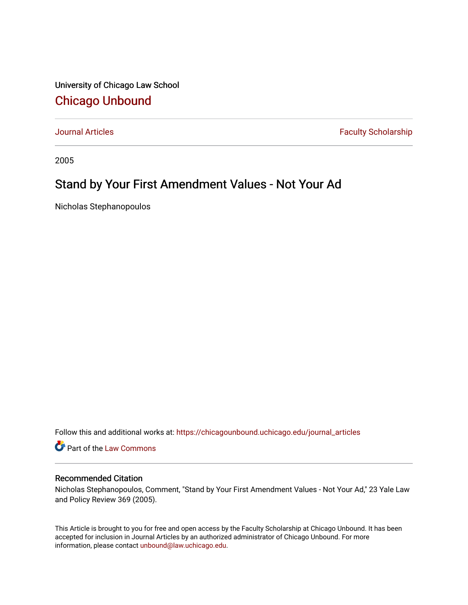University of Chicago Law School [Chicago Unbound](https://chicagounbound.uchicago.edu/)

[Journal Articles](https://chicagounbound.uchicago.edu/journal_articles) **Faculty Scholarship Faculty Scholarship** 

2005

# Stand by Your First Amendment Values - Not Your Ad

Nicholas Stephanopoulos

Follow this and additional works at: [https://chicagounbound.uchicago.edu/journal\\_articles](https://chicagounbound.uchicago.edu/journal_articles?utm_source=chicagounbound.uchicago.edu%2Fjournal_articles%2F3772&utm_medium=PDF&utm_campaign=PDFCoverPages) 

Part of the [Law Commons](http://network.bepress.com/hgg/discipline/578?utm_source=chicagounbound.uchicago.edu%2Fjournal_articles%2F3772&utm_medium=PDF&utm_campaign=PDFCoverPages)

# Recommended Citation

Nicholas Stephanopoulos, Comment, "Stand by Your First Amendment Values - Not Your Ad," 23 Yale Law and Policy Review 369 (2005).

This Article is brought to you for free and open access by the Faculty Scholarship at Chicago Unbound. It has been accepted for inclusion in Journal Articles by an authorized administrator of Chicago Unbound. For more information, please contact [unbound@law.uchicago.edu](mailto:unbound@law.uchicago.edu).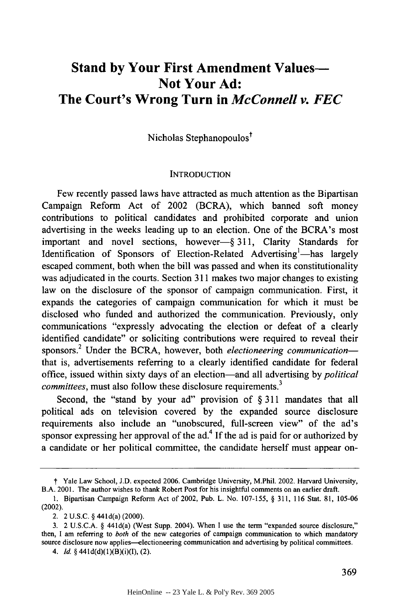# **Stand by Your First Amendment Values-Not Your Ad: The Court's Wrong Turn in** *McConnell v. FEC*

Nicholas Stephanopoulos<sup>†</sup>

#### **INTRODUCTION**

Few recently passed laws have attracted as much attention as the Bipartisan Campaign Reform Act of 2002 (BCRA), which banned soft money contributions to political candidates and prohibited corporate and union advertising in the weeks leading up to an election. One of the BCRA's most important and novel sections, however-§ **311,** Clarity Standards for Identification of Sponsors of Election-Related Advertising<sup>1</sup>—has largely escaped comment, both when the bill was passed and when its constitutionality was adjudicated in the courts. Section **311** makes two major changes to existing law on the disclosure of the sponsor of campaign communication. First, it expands the categories of campaign communication for which it must be disclosed who funded and authorized the communication. Previously, only communications "expressly advocating the election or defeat of a clearly identified candidate" or soliciting contributions were required to reveal their sponsors.<sup>2</sup> Under the BCRA, however, both *electioneering communication* that is, advertisements referring to a clearly identified candidate for federal office, issued within sixty days of an election-and all advertising **by** *political committees, must also follow these disclosure requirements.*<sup>3</sup>

Second, the "stand **by** your ad" provision of **§ 311** mandates that all political ads on television covered **by** the expanded source disclosure requirements also include an "unobscured, full-screen view" of the ad's sponsor expressing her approval of the ad.4 **If** the ad is paid for or authorized **by** a candidate or her political committee, the candidate herself must appear on-

t Yale Law School, **J.D.** expected **2006.** Cambridge University, M.Phil. 2002. Harvard University, B.A. 2001. The author wishes to thank Robert Post for his insightful comments on an earlier draft.

**<sup>1.</sup>** Bipartisan Campaign Reform Act of 2002, Pub. L. No. **107-155,** § **311, 116** Stat. **81, 105-06** (2002).

<sup>2. 2</sup> U.S.C. § 441d(a) (2000).

<sup>3. 2</sup> U.S.C.A. § 441d(a) (West Supp. 2004). When I use the term "expanded source disclosure," then, I am referring to *both* of the new categories of campaign communication to which mandatory source disclosure now applies-electioneering communication and advertising by political committees.

*<sup>4.</sup> Id.* § 441d(d)(l)(B)(i)(I), (2).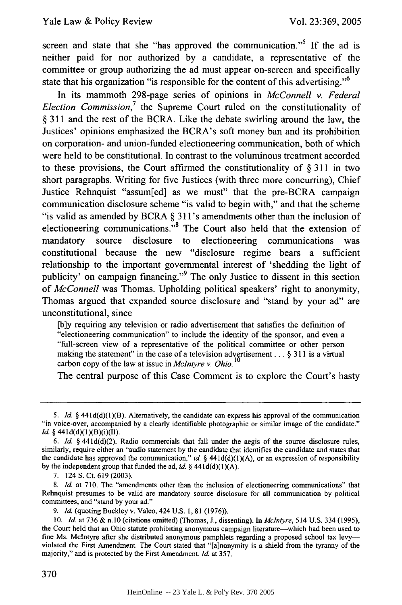screen and state that she "has approved the communication."<sup>5</sup> If the ad is neither paid for nor authorized by a candidate, a representative of the committee or group authorizing the ad must appear on-screen and specifically state that his organization "is responsible for the content of this advertising."<sup>6</sup>

In its mammoth 298-page series of opinions in *McConnell v. Federal Election Commission*,<sup>7</sup> the Supreme Court ruled on the constitutionality of § 311 and the rest of the BCRA. Like the debate swirling around the law, the Justices' opinions emphasized the BCRA's soft money ban and its prohibition on corporation- and union-funded electioneering communication, both of which were held to be constitutional. In contrast to the voluminous treatment accorded to these provisions, the Court affirmed the constitutionality of  $\S 311$  in two short paragraphs. Writing for five Justices (with three more concurring), Chief Justice Rehnquist "assum[ed] as we must" that the pre-BCRA campaign communication disclosure scheme "is valid to begin with," and that the scheme "is valid as amended by BCRA  $\S$  311's amendments other than the inclusion of electioneering communications."<sup>8</sup> The Court also held that the extension of mandatory source disclosure to electioneering communications was constitutional because the new "disclosure regime bears a sufficient relationship to the important governmental interest of 'shedding the light of publicity' on campaign financing."<sup>9</sup> The only Justice to dissent in this section of *McConnell* was Thomas. Upholding political speakers' right to anonymity, Thomas argued that expanded source disclosure and "stand by your ad" are unconstitutional, since

[b]y requiring any television or radio advertisement that satisfies the definition of "electioneering communication" to include the identity of the sponsor, and even a "full-screen view of a representative of the political committee or other person making the statement" in the case of a television advertisement **...** § 311 is a virtual carbon copy of the law at issue in *McIntyre v. Ohio.* 

The central purpose of this Case Comment is to explore the Court's hasty

7. 124 S. Ct. 619 (2003).

8. Id. at 710. The "amendments other than the inclusion of electioneering communications" that Rehnquist presumes to be valid are mandatory source disclosure for all communication by political committees, and "stand by your ad."

*9.* Id. (quoting Buckley v. Valeo, 424 U.S. 1, 81 (1976)).

10. Id. at 736 & n.10 (citations omitted) (Thomas, J., dissenting). In *McIntyre,* 514 U.S. 334 (1995), the Court held that an Ohio statute prohibiting anonymous campaign literature-which had been used to fine Ms. McIntyre after she distributed anonymous pamphlets regarding a proposed school tax levyviolated the First Amendment. The Court stated that "[a]nonymity is a shield from the tyranny of the majority," and is protected by the First Amendment. Id. at 357.

*<sup>5.</sup> Id.* § 441 d(d)(l)(B). Alternatively, the candidate can express his approval of the communication "in voice-over, accompanied by a clearly identifiable photographic or similar image of the candidate." *Id.* § 441 $d(d)(1)(B)(i)(II)$ .

*<sup>6.</sup>* Id. § 441d(d)(2). Radio commercials that fall under the aegis of the source disclosure rules, similarly, require either an "audio statement by the candidate that identifies the candidate and states that the candidate has approved the communication," *id.* § 441d(d)(1)(A), or an expression of responsibility by the independent group that funded the ad, id. § **441** d(d)(l)(A).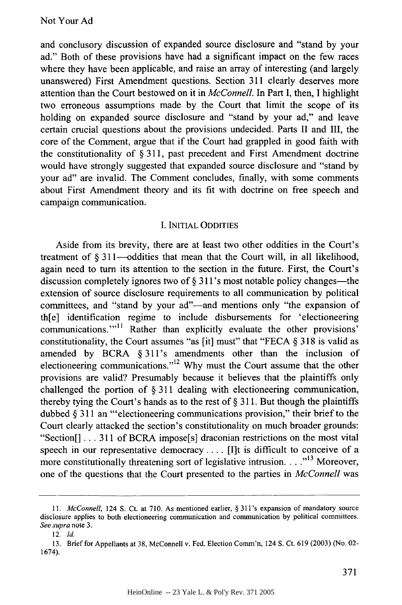and conclusory discussion of expanded source disclosure and "stand by your ad." Both of these provisions have had a significant impact on the few races where they have been applicable, and raise an array of interesting (and largely unanswered) First Amendment questions. Section 311 clearly deserves more attention than the Court bestowed on it in *McConnell.* In Part I, then, I highlight two erroneous assumptions made by the Court that limit the scope of its holding on expanded source disclosure and "stand by your ad," and leave certain crucial questions about the provisions undecided. Parts II and III, the core of the Comment, argue that if the Court had grappled in good faith with the constitutionality of § 311, past precedent and First Amendment doctrine would have strongly suggested that expanded source disclosure and "stand by your ad" are invalid. The Comment concludes, finally, with some comments about First Amendment theory and its fit with doctrine on free speech and campaign communication.

## **I. INITIAL ODDITIES**

Aside from its brevity, there are at least two other oddities in the Court's treatment of  $\S 311$ —oddities that mean that the Court will, in all likelihood, again need to turn its attention to the section in the future. First, the Court's discussion completely ignores two of  $\S 311$ 's most notable policy changes—the extension of source disclosure requirements to all communication by political committees, and "stand by your ad"—and mentions only "the expansion of th[e] identification regime to include disbursements for 'electioneering communications."<sup>11</sup> Rather than explicitly evaluate the other provisions' constitutionality, the Court assumes "as [it] must" that "FECA § 318 is valid as amended by BCRA § 311's amendments other than the inclusion of electioneering communications."<sup>12</sup> Why must the Court assume that the other provisions are valid? Presumably because it believes that the plaintiffs only challenged the portion of § 311 dealing with electioneering communication, thereby tying the Court's hands as to the rest of  $\S 311$ . But though the plaintiffs dubbed § 311 an "'electioneering communications provision," their brief to the Court clearly attacked the section's constitutionality on much broader grounds: "Section[] ... 311 of BCRA impose[s] draconian restrictions on the most vital speech in our representative democracy .... [I]t is difficult to conceive of a more constitutionally threatening sort of legislative intrusion. . . .<sup>,13</sup> Moreover, one of the questions that the Court presented to the parties in *McConnell* was

<sup>11.</sup> *McConnell*, 124 S. Ct. at 710. As mentioned earlier, § 311's expansion of mandatory source disclosure applies to both electioneering communication and communication by political committees. *See supra* note 3.

<sup>12.</sup> *Id.*

<sup>13.</sup> Brief for Appellants at 38, McConnell v. Fed. Election Comm'n, 124 **S.** Ct. 619 (2003) (No. 02- 1674).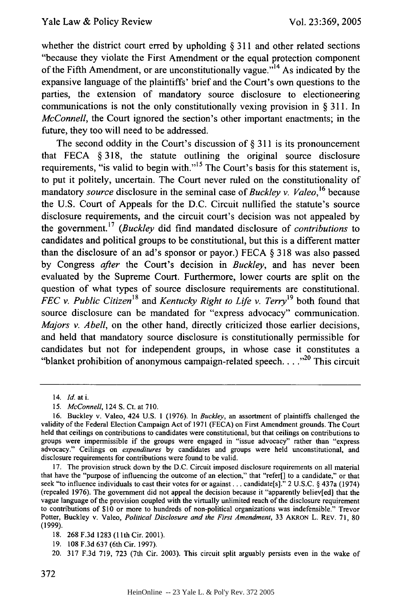whether the district court erred by upholding  $\S 311$  and other related sections "because they violate the First Amendment or the equal protection component of the Fifth Amendment, or are unconstitutionally vague."<sup>14</sup> As indicated by the expansive language of the plaintiffs' brief and the Court's own questions to the parties, the extension of mandatory source disclosure to electioneering communications is not the only constitutionally vexing provision in § 311. In *McConnell*, the Court ignored the section's other important enactments; in the future, they too will need to be addressed.

The second oddity in the Court's discussion of  $\S$  311 is its pronouncement that FECA § 318, the statute outlining the original source disclosure requirements, "is valid to begin with."<sup>15</sup> The Court's basis for this statement is, to put it politely, uncertain. The Court never ruled on the constitutionality of mandatory *source* disclosure in the seminal case of *Buckley v. Valeo*, <sup>16</sup> because the U.S. Court of Appeals for the D.C. Circuit nullified the statute's source disclosure requirements, and the circuit court's decision was not appealed by the government.17 *(Buckley* did find mandated disclosure of *contributions* to candidates and political groups to be constitutional, but this is a different matter than the disclosure of an ad's sponsor or payor.) FECA § 318 was also passed by Congress *after* the Court's decision in *Buckley,* and has never been evaluated by the Supreme Court. Furthermore, lower courts are split on the question of what types of source disclosure requirements are constitutional. *FEC v. Public Citizen*<sup>18</sup> and *Kentucky Right to Life v. Terry*<sup>19</sup> both found that source disclosure can be mandated for "express advocacy" communication. *Majors v. Abell*, on the other hand, directly criticized those earlier decisions, and held that mandatory source disclosure is constitutionally permissible for candidates but not for independent groups, in whose case it constitutes a "blanket prohibition of anonymous campaign-related speech...."<sup>20</sup> This circuit

<sup>14.</sup> Id. at i.

<sup>15.</sup> *McConnell,* 124 S. Ct. at 710.

<sup>16.</sup> Buckley v. Valeo, 424 U.S. 1 (1976). In *Buckley,* an assortment of plaintiffs challenged the validity of the Federal Election Campaign Act of 1971 (FECA) on First Amendment grounds. The Court held that ceilings on contributions to candidates were constitutional, but that ceilings on contributions to groups were impermissible if the groups were engaged in "issue advocacy" rather than "express advocacy." Ceilings on *expenditures* by candidates and groups were held unconstitutional, and disclosure requirements for contributions were found to be valid.

<sup>17.</sup> The provision struck down by the D.C. Circuit imposed disclosure requirements on all material that have the "purpose of influencing the outcome of an election," that "refer[] to a candidate," or that seek "to influence individuals to cast their votes for or against **...** candidate[s]." 2 U.S.C. § 437a (1974) (repealed 1976). The government did not appeal the decision because it "apparently believ[ed] that the vague language of the provision coupled with the virtually unlimited reach of the disclosure requirement to contributions of **\$** 10 or more to hundreds of non-political organizations was indefensible." Trevor Potter, Buckley v. Valeo, *Political Disclosure and the First Amendment,* 33 AKRON L. REV. 71, 80 (1999).

<sup>18. 268</sup> F.3d 1283 (1 1th Cir. 2001).

<sup>19. 108</sup> F.3d 637 (6th Cir. 1997).

<sup>20.</sup> 317 F.3d 719, 723 (7th Cir. 2003). This circuit split arguably persists even in the wake of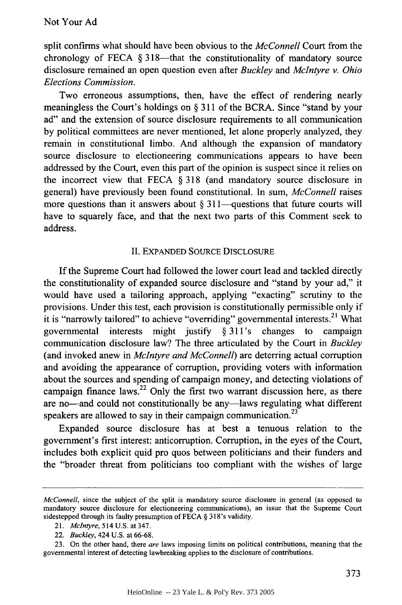split confirms what should have been obvious to the *McConnell* Court from the chronology of FECA  $\S 318$ —that the constitutionality of mandatory source disclosure remained an open question even after *Buckley* and *McIntyre v. Ohio Elections Commission.*

Two erroneous assumptions, then, have the effect of rendering nearly meaningless the Court's holdings on § 311 of the BCRA. Since "stand by your ad" and the extension of source disclosure requirements to all communication by political committees are never mentioned, let alone properly analyzed, they remain in constitutional limbo. And although the expansion of mandatory source disclosure to electioneering communications appears to have been addressed by the Court, even this part of the opinion is suspect since it relies on the incorrect view that FECA § 318 (and mandatory source disclosure in general) have previously been found constitutional. In sum, *McConnell* raises more questions than it answers about  $\S 311$ —questions that future courts will have to squarely face, and that the next two parts of this Comment seek to address.

#### II. EXPANDED SOURCE DISCLOSURE

If the Supreme Court had followed the lower court lead and tackled directly the constitutionality of expanded source disclosure and "stand by your ad," it would have used a tailoring approach, applying "exacting" scrutiny to the provisions. Under this test, each provision is constitutionally permissible only if it is "narrowly tailored" to achieve "overriding" governmental interests.<sup>21</sup> What governmental interests might justify § 311's changes to campaign communication disclosure law? The three articulated by the Court in *Buckley* (and invoked anew in *McIntyre and McConnell)* are deterring actual corruption and avoiding the appearance of corruption, providing voters with information about the sources and spending of campaign money, and detecting violations of campaign finance laws.<sup>22</sup> Only the first two warrant discussion here, as there are no-and could not constitutionally be any-laws regulating what different speakers are allowed to say in their campaign communication.<sup>23</sup>

Expanded source disclosure has at best a tenuous relation to the government's first interest: anticorruption. Corruption, in the eyes of the Court, includes both explicit quid pro quos between politicians and their funders and the "broader threat from politicians too compliant with the wishes of large

*McConnell*, since the subject of the split is mandatory source disclosure in general (as opposed to mandatory source disclosure for electioneering communications), an issue that the Supreme Court sidestepped through its faulty presumption of FECA § 318's validity.

<sup>21.</sup> *Mclntyre, 514 U.S.* at347.

<sup>22.</sup> *Buckley,* 424 U.S. at 66-68.

<sup>23.</sup> On the other hand, there *are* laws imposing limits on political contributions, meaning that the governmental interest of detecting lawbreaking applies to the disclosure of contributions.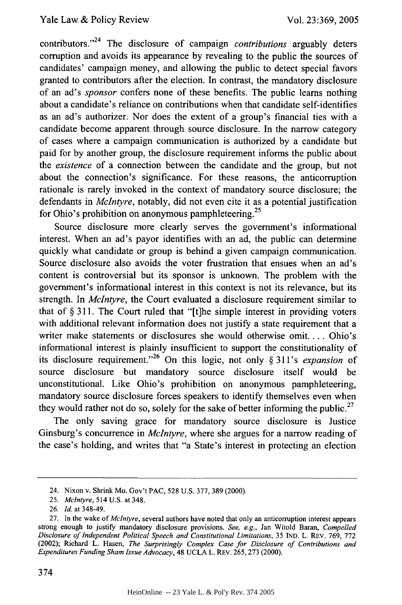contributors." 24 The disclosure of campaign *contributions* arguably deters corruption and avoids its appearance by revealing to the public the sources of candidates' campaign money, and allowing the public to detect special favors granted to contributors after the election. In contrast, the mandatory disclosure of an ad's *sponsor* confers none of these benefits. The public learns nothing about a candidate's reliance on contributions when that candidate self-identifies as an ad's authorizer. Nor does the extent of a group's financial ties with a candidate become apparent through source disclosure. In the narrow category of cases where a campaign communication is authorized by a candidate but paid for by another group, the disclosure requirement informs the public about the *existence* of a connection between the candidate and the group, but not about the connection's significance. For these reasons, the anticorruption rationale is rarely invoked in the context of mandatory source disclosure; the defendants in *McIntyre,* notably, did not even cite it as a potential justification for Ohio's prohibition on anonymous pamphleteering.<sup>25</sup>

Source disclosure more clearly serves the government's informational interest. When an ad's payor identifies with an ad, the public can determine quickly what candidate or group is behind a given campaign communication. Source disclosure also avoids the voter frustration that ensues when an ad's content is controversial but its sponsor is unknown. The problem with the government's informational interest in this context is not its relevance, but its strength. In *McIntyre,* the Court evaluated a disclosure requirement similar to that of  $\S 311$ . The Court ruled that "[t]he simple interest in providing voters with additional relevant information does not justify a state requirement that a writer make statements or disclosures she would otherwise omit **....** Ohio's informational interest is plainly insufficient to support the constitutionality of its disclosure requirement.' 26 On this logic, not only § 311's *expansion* of source disclosure but mandatory source disclosure itself would be unconstitutional. Like Ohio's prohibition on anonymous pamphleteering, mandatory source disclosure forces speakers to identify themselves even when they would rather not do so, solely for the sake of better informing the public.<sup>27</sup>

The only saving grace for mandatory source disclosure is Justice Ginsburg's concurrence in *McIntyre,* where she argues for a narrow reading of the case's holding, and writes that "a State's interest in protecting an election

<sup>24.</sup> Nixon v. Shrink Mo. Gov't PAC, 528 U.S. 377,389 (2000).

<sup>25.</sup> *McIntyre,* 514 U.S. at 348.

<sup>26.</sup> *Id.* at 348-49.

<sup>27.</sup> In the wake of *McIntyre,* several authors have noted that only an anticorruption interest appears strong enough to justify mandatory disclosure provisions. *See, e.g.,* Jan Witold Baran, *Compelled Disclosure of Independent Political Speech and Constitutional Limitations,* 35 IND. L. REV. 769, 772 (2002); Richard L. Hasen, *The Surprisingly Complex Case for Disclosure of Contributions and Expenditures Funding Sham Issue Advocacy,* 48 UCLA L. REV. 265,273 (2000).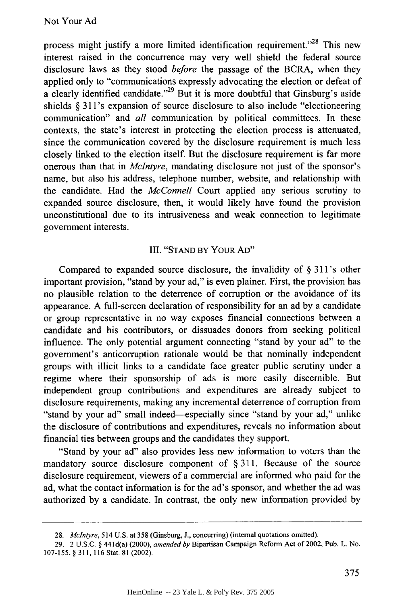process might justify a more limited identification requirement."<sup>28</sup> This new interest raised in the concurrence may very well shield the federal source disclosure laws as they stood *before* the passage of the BCRA, when they applied only to "communications expressly advocating the election or defeat of a clearly identified candidate."<sup>29</sup> But it is more doubtful that Ginsburg's aside shields § 311's expansion of source disclosure to also include "electioneering communication" and *all* communication by political committees. In these contexts, the state's interest in protecting the election process is attenuated, since the communication covered by the disclosure requirement is much less closely linked to the election itself. But the disclosure requirement is far more onerous than that in *McIntyre,* mandating disclosure not just of the sponsor's name, but also his address, telephone number, website, and relationship with the candidate. Had the *McConnell* Court applied any serious scrutiny to expanded source disclosure, then, it would likely have found the provision unconstitutional due to its intrusiveness and weak connection to legitimate government interests.

## III. "STAND BY YOUR AD"

Compared to expanded source disclosure, the invalidity of  $\S 311$ 's other important provision, "stand by your ad," is even plainer. First, the provision has no plausible relation to the deterrence of corruption or the avoidance of its appearance. A full-screen declaration of responsibility for an ad by a candidate or group representative in no way exposes financial connections between a candidate and his contributors, or dissuades donors from seeking political influence. The only potential argument connecting "stand by your ad" to the government's anticorruption rationale would be that nominally independent groups with illicit links to a candidate face greater public scrutiny under a regime where their sponsorship of ads is more easily discernible. But independent group contributions and expenditures are already subject to disclosure requirements, making any incremental deterrence of corruption from "stand by your ad" small indeed—especially since "stand by your ad," unlike the disclosure of contributions and expenditures, reveals no information about financial ties between groups and the candidates they support.

"Stand by your ad" also provides less new information to voters than the mandatory source disclosure component of § 311. Because of the source disclosure requirement, viewers of a commercial are informed who paid for the ad, what the contact information is for the ad's sponsor, and whether the ad was authorized by a candidate. In contrast, the only new information provided by

<sup>28.</sup> *McIntyre,* 514 U.S. at 358 (Ginsburg, J., concurring) (internal quotations omitted).

**<sup>29.</sup>** 2 U.S.C. § 441d(a) (2000), *amended by* Bipartisan Campaign Reform Act of 2002, Pub. L. No. 107-155, § 311, 116 Stat. 81 (2002).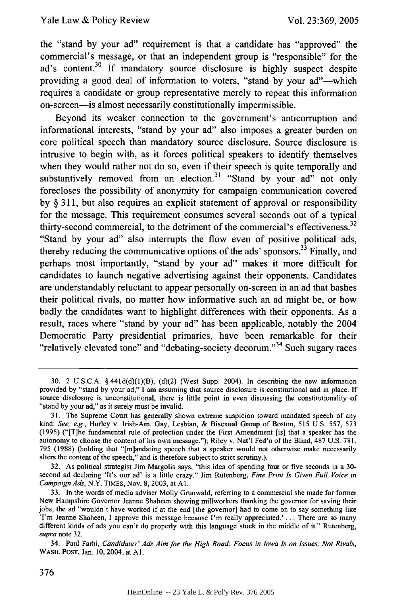the "stand **by** your ad" requirement is that a candidate has "approved" the commercial's message, or that an independent group is "responsible" for the ad's content.3° **If** mandatory source disclosure is **highly** suspect despite providing a good deal of information to voters, "stand **by** your ad"-which requires a candidate or group representative merely to repeat this information on-screen—is almost necessarily constitutionally impermissible.

Beyond its weaker connection to the government's anticorruption and informational interests, "stand **by** your ad" also imposes a greater burden on core political speech than mandatory source disclosure. Source disclosure is intrusive to begin with, as it forces political speakers to identify themselves when they would rather not do so, even if their speech is quite temporally and substantively removed from an election.<sup>31</sup> "Stand by your ad" not only forecloses the possibility of anonymity for campaign communication covered **by § 311,** but also requires an explicit statement of approval or responsibility for the message. This requirement consumes several seconds out of a typical thirty-second commercial, to the detriment of the commercial's effectiveness.<sup>32</sup> "Stand **by** your ad" also interrupts the flow even of positive political ads, thereby reducing the communicative options of the ads' sponsors.<sup>33</sup> Finally, and perhaps most importantly, "stand **by** your ad" makes it more difficult for candidates to launch negative advertising against their opponents. Candidates are understandably reluctant to appear personally on-screen in an ad that bashes their political rivals, no matter how informative such an ad might be, or how badly the candidates want to highlight differences with their opponents. As a result, races where "stand **by** your ad" has been applicable, notably the 2004 Democratic Party presidential primaries, have been remarkable for their "relatively elevated tone" and "debating-society decorum."<sup>34</sup> Such sugary races

<sup>30. 2</sup> **U.S.C.A.** § 441d(d)(1)(B), (d)(2) (West Supp. 2004). In describing the new information provided **by** "stand **by** your ad," I am assuming that source disclosure is constitutional and in place. If source disclosure is unconstitutional, there is little point in even discussing the constitutionality of "stand **by** your ad," as it surely must be invalid.

<sup>31.</sup> The Supreme Court has generally shown extreme suspicion toward mandated speech of any kind. *See, e.g.,* Hurley v. Irish-Am. Gay, Lesbian, & Bisexual Group of Boston, 515 U.S. 557, 573 (1995) ("[T]he fundamental rule of protection under the First Amendment [is] that a speaker has the autonomy to choose the content of his own message."); Riley v. Nat'l Fed'n of the Blind, 487 U.S. 781, 795 (1988) (holding that "[m]andating speech that a speaker would not otherwise make necessarily alters the content of the speech," and is therefore subject to strict scrutiny.).

<sup>32.</sup> As political strategist Jim Margolis says, "this idea of spending four or five seconds in a 30 second ad declaring 'It's our ad' is a little crazy." Jim Rutenberg, *Fine Print Is Given Full Voice in Campaign Ads,* N.Y. TIMES, Nov. 8, 2003, at Al.

<sup>33.</sup> In the words of media adviser Molly Grunwald, referring to a commercial she made for former New Hampshire Governor Jeanne Shaheen showing millworkers thanking the governor for saving their jobs, the ad "wouldn't have worked if at the end [the governor] had to come on to say something like 'I'm Jeanne Shaheen, I approve this message because I'm really appreciated.' **.. .** There are so many different kinds of ads you can't do properly with this language stuck in the middle of it." Rutenberg, *supra* note 32.

<sup>34.</sup> Paul Farhi, *Candidates'Ads Aim for the High Road: Focus in Iowa Is on Issues, Not Rivals,* WASH. **POST,** Jan. 10, 2004, at **Al.**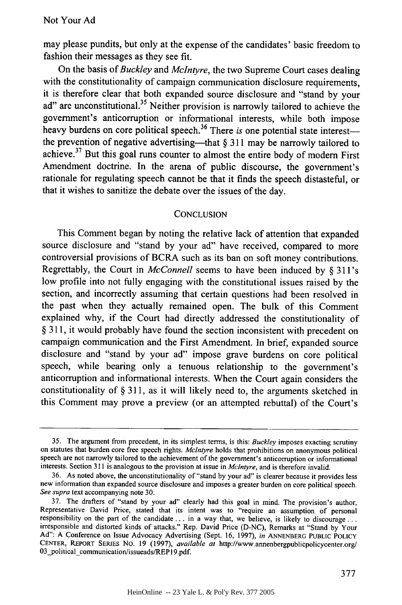may please pundits, but only at the expense of the candidates' basic freedom to fashion their messages as they see fit.

On the basis of *Buckley* and *McIntyre,* the two Supreme Court cases dealing with the constitutionality of campaign communication disclosure requirements, it is therefore clear that both expanded source disclosure and "stand by your ad" are unconstitutional.<sup>35</sup> Neither provision is narrowly tailored to achieve the government's anticorruption or informational interests, while both impose heavy burdens on core political speech.<sup>36</sup> There *is* one potential state interestthe prevention of negative advertising—that  $\S 311$  may be narrowly tailored to achieve. 37 But this goal runs counter to almost the entire body of modem First Amendment doctrine. In the arena of public discourse, the government's rationale for regulating speech cannot be that it finds the speech distasteful, or that it wishes to sanitize the debate over the issues of the day.

#### **CONCLUSION**

This Comment began by noting the relative lack of attention that expanded source disclosure and "stand by your ad" have received, compared to more controversial provisions of BCRA such as its ban on soft money contributions. Regrettably, the Court in *McConnell* seems to have been induced by § 31 I's low profile into not fully engaging with the constitutional issues raised by the section, and incorrectly assuming that certain questions had been resolved in the past when they actually remained open. The bulk of this Comment explained why, if the Court had directly addressed the constitutionality of § 311, it would probably have found the section inconsistent with precedent on campaign communication and the First Amendment. In brief, expanded source disclosure and "stand by your ad" impose grave burdens on core political speech, while bearing only a tenuous relationship to the government's anticorruption and informational interests. When the Court again considers the constitutionality of § 311, as it will likely need to, the arguments sketched in this Comment may prove a preview (or an attempted rebuttal) of the Court's

<sup>35.</sup> The argument from precedent, in its simplest terms, is this: *Buckley* imposes exacting scrutiny on statutes that burden core free speech rights. *McIntyre* holds that prohibitions on anonymous political speech are not narrowly tailored to the achievement of the government's anticorruption or informational interests. Section 3 **11** is analogous to the provision at issue in *McIntyre,* and is therefore invalid.

<sup>36.</sup> As noted above, the unconstitutionality of "stand by your ad" is clearer because it provides less new information than expanded source disclosure and imposes a greater burden on core political speech. *See supra* text accompanying note 30.

<sup>37.</sup> The drafters of "stand by your ad" clearly had this goal in mind. The provision's author, Representative David Price, stated that its intent was to "require an assumption of personal responsibility on the part of the candidate **...** in a way that, we believe, is likely to discourage... irresponsible and distorted kinds of attacks." Rep. David Price (D-NC), Remarks at "Stand by Your Ad": A Conference on Issue Advocacy Advertising (Sept. 16, 1997), *in* ANNENBERG **PUBLIC** POLICY CENTER, REPORT SERIES NO. 19 (1997), *available at* http://www.annenbergpublicpolicycenter.org/ 03\_political\_communication/issueads/REP19.pdf.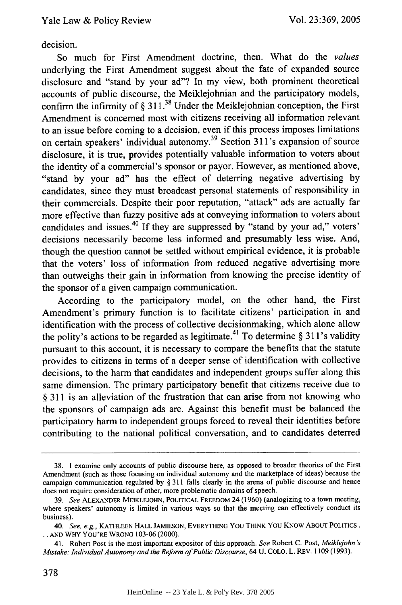decision.

So much for First Amendment doctrine, then. What do the *values* underlying the First Amendment suggest about the fate of expanded source disclosure and "stand by your ad"? In my view, both prominent theoretical accounts of public discourse, the Meiklejohnian and the participatory models, confirm the infirmity of § 31 **1.38** Under the Meiklejohnian conception, the First Amendment is concerned most with citizens receiving all information relevant to an issue before coming to a decision, even if this process imposes limitations on certain speakers' individual autonomy.<sup>39</sup> Section 311's expansion of source disclosure, it is true, provides potentially valuable information to voters about the identity of a commercial's sponsor or payor. However, as mentioned above, "stand by your ad" has the effect of deterring negative advertising by candidates, since they must broadcast personal statements of responsibility in their commercials. Despite their poor reputation, "attack" ads are actually far more effective than fuzzy positive ads at conveying information to voters about candidates and issues.40 If they are suppressed by "stand **by** your ad," voters' decisions necessarily become less informed and presumably less wise. And, though the question cannot be settled without empirical evidence, it is probable that the voters' loss of information from reduced negative advertising more than outweighs their gain in information from knowing the precise identity of the sponsor of a given campaign communication.

According to the participatory model, on the other hand, the First Amendment's primary function is to facilitate citizens' participation in and identification with the process of collective decisionmaking, which alone allow the polity's actions to be regarded as legitimate.<sup>41</sup> To determine  $\S$  311's validity pursuant to this account, it is necessary to compare the benefits that the statute provides to citizens in terms of a deeper sense of identification with collective decisions, to the harm that candidates and independent groups suffer along this same dimension. The primary participatory benefit that citizens receive due to § 311 is an alleviation of the frustration that can arise from not knowing who the sponsors of campaign ads are. Against this benefit must be balanced the participatory harm to independent groups forced to reveal their identities before contributing to the national political conversation, and to candidates deterred

<sup>38.</sup> I examine only accounts of public discourse here, as opposed to broader theories of the First Amendment (such as those focusing on individual autonomy and the marketplace of ideas) because the campaign communication regulated by § 311 falls clearly in the arena of public discourse and hence does not require consideration of other, more problematic domains of speech.

<sup>39.</sup> *See* ALEXANDER **MEIKLEJOHN,** POLITICAL FREEDOM 24 (1960) (analogizing to a town meeting, where speakers' autonomy is limited in various ways so that the meeting can effectively conduct its business).

<sup>40.</sup> *See, e.g.,* **KATHLEEN** HALL **JAMIESON,** EVERYTHING You THINK **YOU** KNOW ABOUT POLITICS. **AND** WHY **YOU'RE** WRONG 103-06 (2000).

<sup>41.</sup> Robert Post is the most important expositor of this approach. *See* Robert C. Post, *Meiklejohn's Mistake: Individual Autonomy and the Reform of Public Discourse,* 64 U. **COLO.** L. REV. 1109 (1993).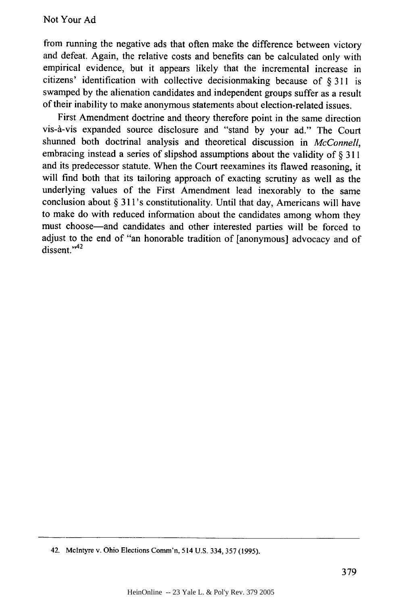from running the negative ads that often make the difference between victory and defeat. Again, the relative costs and benefits can be calculated only with empirical evidence, but it appears likely that the incremental increase in citizens' identification with collective decisionmaking because of § 311 is swamped by the alienation candidates and independent groups suffer as a result of their inability to make anonymous statements about election-related issues.

First Amendment doctrine and theory therefore point in the same direction vis-A-vis expanded source disclosure and "stand by your ad." The Court shunned both doctrinal analysis and theoretical discussion in *McConnell,* embracing instead a series of slipshod assumptions about the validity of § 311 and its predecessor statute. When the Court reexamines its flawed reasoning, it will find both that its tailoring approach of exacting scrutiny as well as the underlying values of the First Amendment lead inexorably to the same conclusion about § 311 's constitutionality. Until that day, Americans will have to make do with reduced information about the candidates among whom they must choose-and candidates and other interested parties will be forced to adjust to the end of "an honorable tradition of [anonymous] advocacy and of dissent." $42$ 

<sup>42.</sup> McIntyre v. Ohio Elections Comm'n, 514 U.S. 334, 357 (1995).